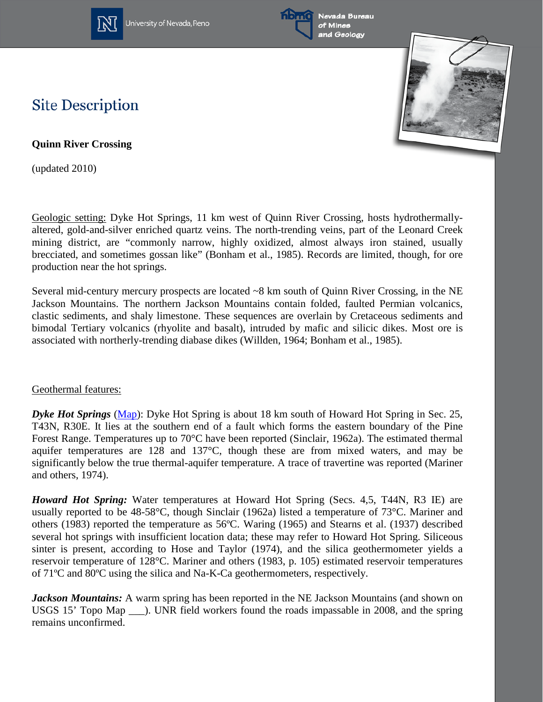

University of Nevada, Reno





## **Site Description**

**Quinn River Crossing**

(updated 2010)

Geologic setting: Dyke Hot Springs, 11 km west of Quinn River Crossing, hosts hydrothermallyaltered, gold-and-silver enriched quartz veins. The north-trending veins, part of the Leonard Creek mining district, are "commonly narrow, highly oxidized, almost always iron stained, usually brecciated, and sometimes gossan like" (Bonham et al., 1985). Records are limited, though, for ore production near the hot springs.

Several mid-century mercury prospects are located ~8 km south of Quinn River Crossing, in the NE Jackson Mountains. The northern Jackson Mountains contain folded, faulted Permian volcanics, clastic sediments, and shaly limestone. These sequences are overlain by Cretaceous sediments and bimodal Tertiary volcanics (rhyolite and basalt), intruded by mafic and silicic dikes. Most ore is associated with northerly-trending diabase dikes (Willden, 1964; Bonham et al., 1985).

## Geothermal features:

*Dyke Hot Springs* [\(Map\)](http://www.nbmg.unr.edu/geothermal/detailedmaps/Dyke%20Hot%20Springs.pdf): Dyke Hot Spring is about 18 km south of Howard Hot Spring in Sec. 25, T43N, R30E. It lies at the southern end of a fault which forms the eastern boundary of the Pine Forest Range. Temperatures up to 70°C have been reported (Sinclair, 1962a). The estimated thermal aquifer temperatures are 128 and 137°C, though these are from mixed waters, and may be significantly below the true thermal-aquifer temperature. A trace of travertine was reported (Mariner and others, 1974).

*Howard Hot Spring:* Water temperatures at Howard Hot Spring (Secs. 4,5, T44N, R3 IE) are usually reported to be 48-58°C, though Sinclair (1962a) listed a temperature of 73°C. Mariner and others (1983) reported the temperature as 56ºC. Waring (1965) and Stearns et al. (1937) described several hot springs with insufficient location data; these may refer to Howard Hot Spring. Siliceous sinter is present, according to Hose and Taylor (1974), and the silica geothermometer yields a reservoir temperature of 128°C. Mariner and others (1983, p. 105) estimated reservoir temperatures of 71ºC and 80ºC using the silica and Na-K-Ca geothermometers, respectively.

*Jackson Mountains:* A warm spring has been reported in the NE Jackson Mountains (and shown on USGS 15' Topo Map  $\blacksquare$ ). UNR field workers found the roads impassable in 2008, and the spring remains unconfirmed.